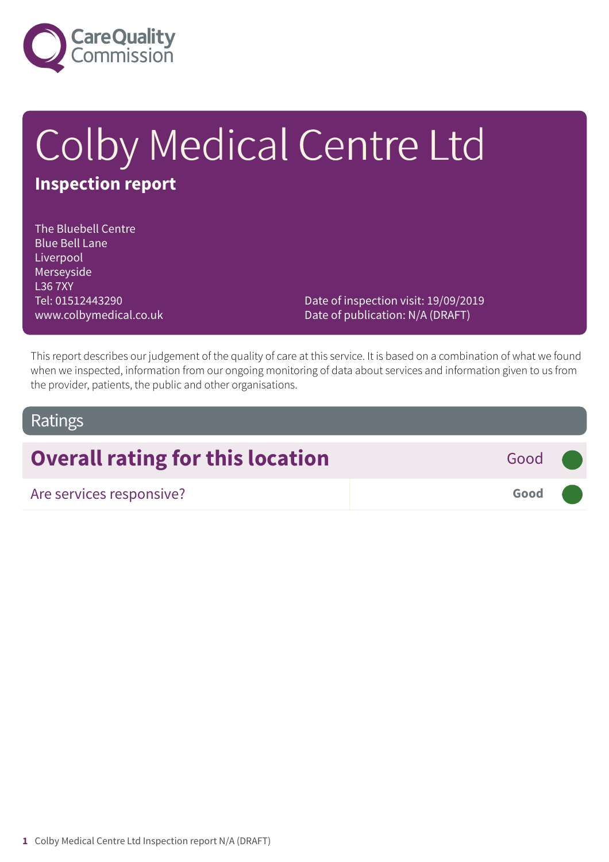

# Colby Medical Centre Ltd **Inspection report**

The Bluebell Centre Blue Bell Lane Liverpool Merseyside L36 7XY Tel: 01512443290 www.colbymedical.co.uk

Date of inspection visit: 19/09/2019 Date of publication: N/A (DRAFT)

This report describes our judgement of the quality of care at this service. It is based on a combination of what we found when we inspected, information from our ongoing monitoring of data about services and information given to us from the provider, patients, the public and other organisations.

### Ratings

## **Overall rating for this location** Good **Good**

Are services responsive? **Good –––**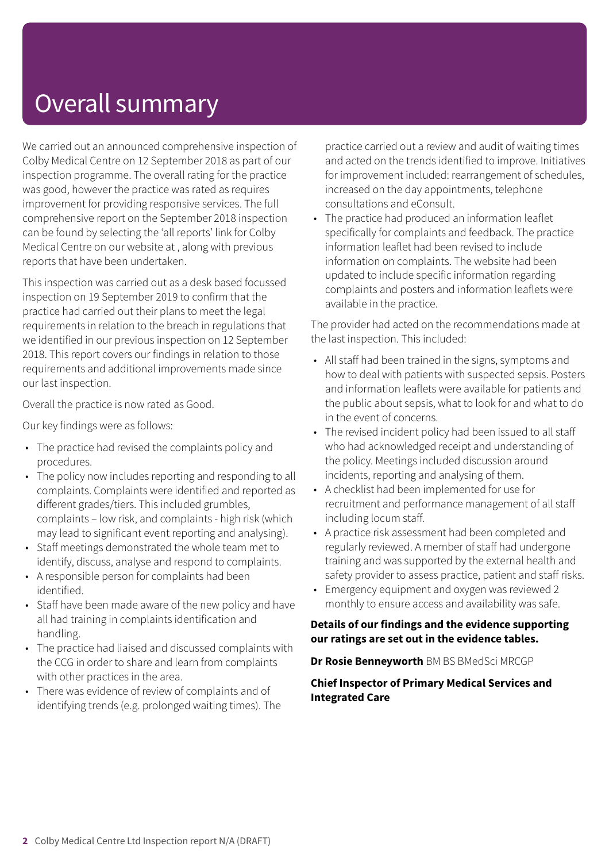## Overall summary

We carried out an announced comprehensive inspection of Colby Medical Centre on 12 September 2018 as part of our inspection programme. The overall rating for the practice was good, however the practice was rated as requires improvement for providing responsive services. The full comprehensive report on the September 2018 inspection can be found by selecting the 'all reports' link for Colby Medical Centre on our website at , along with previous reports that have been undertaken.

This inspection was carried out as a desk based focussed inspection on 19 September 2019 to confirm that the practice had carried out their plans to meet the legal requirements in relation to the breach in regulations that we identified in our previous inspection on 12 September 2018. This report covers our findings in relation to those requirements and additional improvements made since our last inspection.

Overall the practice is now rated as Good.

Our key findings were as follows:

- The practice had revised the complaints policy and procedures.
- The policy now includes reporting and responding to all complaints. Complaints were identified and reported as different grades/tiers. This included grumbles, complaints – low risk, and complaints - high risk (which may lead to significant event reporting and analysing).
- Staff meetings demonstrated the whole team met to identify, discuss, analyse and respond to complaints.
- A responsible person for complaints had been identified.
- Staff have been made aware of the new policy and have all had training in complaints identification and handling.
- The practice had liaised and discussed complaints with the CCG in order to share and learn from complaints with other practices in the area.
- There was evidence of review of complaints and of identifying trends (e.g. prolonged waiting times). The

practice carried out a review and audit of waiting times and acted on the trends identified to improve. Initiatives for improvement included: rearrangement of schedules, increased on the day appointments, telephone consultations and eConsult.

• The practice had produced an information leaflet specifically for complaints and feedback. The practice information leaflet had been revised to include information on complaints. The website had been updated to include specific information regarding complaints and posters and information leaflets were available in the practice.

The provider had acted on the recommendations made at the last inspection. This included:

- All staff had been trained in the signs, symptoms and how to deal with patients with suspected sepsis. Posters and information leaflets were available for patients and the public about sepsis, what to look for and what to do in the event of concerns.
- The revised incident policy had been issued to all staff who had acknowledged receipt and understanding of the policy. Meetings included discussion around incidents, reporting and analysing of them.
- A checklist had been implemented for use for recruitment and performance management of all staff including locum staff.
- A practice risk assessment had been completed and regularly reviewed. A member of staff had undergone training and was supported by the external health and safety provider to assess practice, patient and staff risks.
- Emergency equipment and oxygen was reviewed 2 monthly to ensure access and availability was safe.

#### **Details of our findings and the evidence supporting our ratings are set out in the evidence tables.**

#### **Dr Rosie Benneyworth** BM BS BMedSci MRCGP

#### **Chief Inspector of Primary Medical Services and Integrated Care**